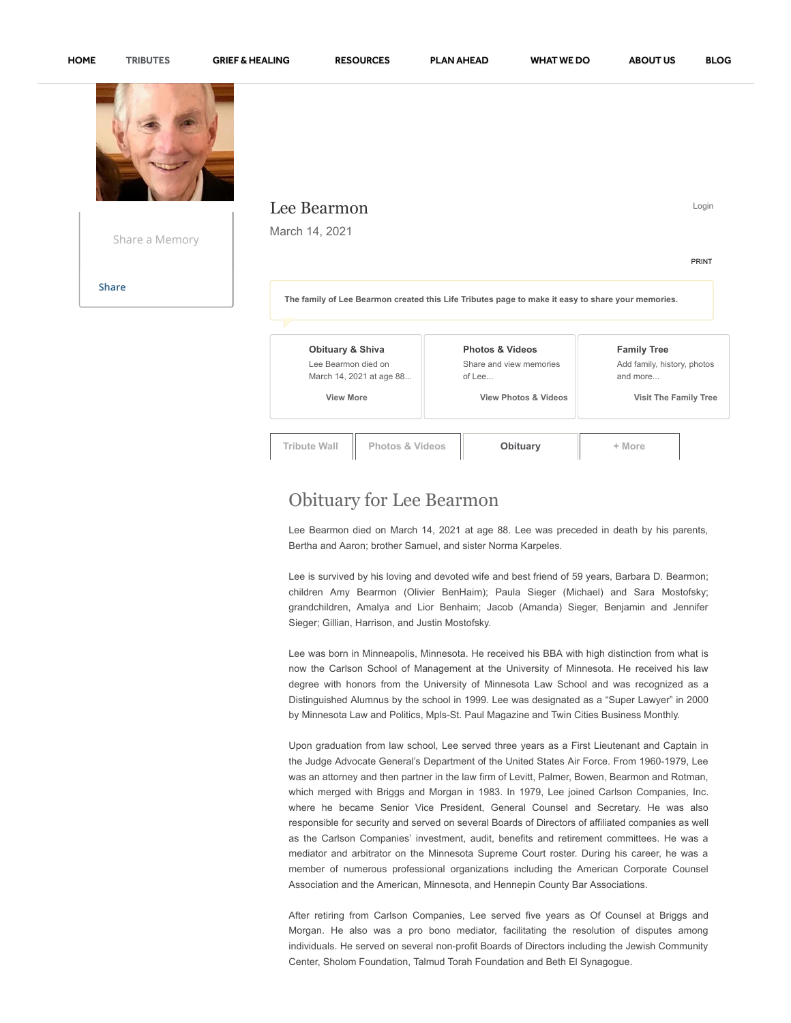



| Share a Memory | Lee Bearmon<br>March 14, 2021                                                                     |                                                                 | Login<br><b>PRINT</b>                                         |
|----------------|---------------------------------------------------------------------------------------------------|-----------------------------------------------------------------|---------------------------------------------------------------|
| <b>Share</b>   | The family of Lee Bearmon created this Life Tributes page to make it easy to share your memories. |                                                                 |                                                               |
|                | <b>Obituary &amp; Shiva</b><br>Lee Bearmon died on<br>March 14, 2021 at age 88                    | <b>Photos &amp; Videos</b><br>Share and view memories<br>of Lee | <b>Family Tree</b><br>Add family, history, photos<br>and more |

 **View More**

**Tribute Wall Photos & Videos [Obituary](javascript:void(0);) + More**

 **View Photos & Videos**

 **Visit The Family Tree**

## Obituary for Lee Bearmon

Lee Bearmon died on March 14, 2021 at age 88. Lee was preceded in death by his parents, Bertha and Aaron; brother Samuel, and sister Norma Karpeles.

Lee is survived by his loving and devoted wife and best friend of 59 years, Barbara D. Bearmon; children Amy Bearmon (Olivier BenHaim); Paula Sieger (Michael) and Sara Mostofsky; grandchildren, Amalya and Lior Benhaim; Jacob (Amanda) Sieger, Benjamin and Jennifer Sieger; Gillian, Harrison, and Justin Mostofsky.

Lee was born in Minneapolis, Minnesota. He received his BBA with high distinction from what is now the Carlson School of Management at the University of Minnesota. He received his law degree with honors from the University of Minnesota Law School and was recognized as a Distinguished Alumnus by the school in 1999. Lee was designated as a "Super Lawyer" in 2000 by Minnesota Law and Politics, Mpls-St. Paul Magazine and Twin Cities Business Monthly.

Upon graduation from law school, Lee served three years as a First Lieutenant and Captain in the Judge Advocate General's Department of the United States Air Force. From 1960-1979, Lee was an attorney and then partner in the law firm of Levitt, Palmer, Bowen, Bearmon and Rotman, which merged with Briggs and Morgan in 1983. In 1979, Lee joined Carlson Companies, Inc. where he became Senior Vice President, General Counsel and Secretary. He was also responsible for security and served on several Boards of Directors of affiliated companies as well as the Carlson Companies' investment, audit, benefits and retirement committees. He was a mediator and arbitrator on the Minnesota Supreme Court roster. During his career, he was a member of numerous professional organizations including the American Corporate Counsel Association and the American, Minnesota, and Hennepin County Bar Associations.

After retiring from Carlson Companies, Lee served five years as Of Counsel at Briggs and Morgan. He also was a pro bono mediator, facilitating the resolution of disputes among individuals. He served on several non-profit Boards of Directors including the Jewish Community Center, Sholom Foundation, Talmud Torah Foundation and Beth El Synagogue.